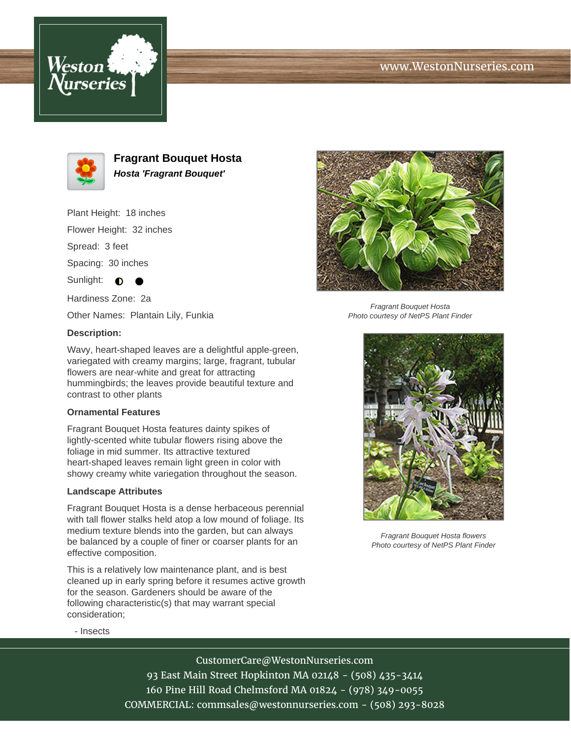# www.WestonNurseries.com





**Fragrant Bouquet Hosta Hosta 'Fragrant Bouquet'**

Plant Height: 18 inches

Flower Height: 32 inches

Spread: 3 feet

Spacing: 30 inches

Sunlight:  $\bullet$ 

Hardiness Zone: 2a

Other Names: Plantain Lily, Funkia

### **Description:**

Wavy, heart-shaped leaves are a delightful apple-green, variegated with creamy margins; large, fragrant, tubular flowers are near-white and great for attracting hummingbirds; the leaves provide beautiful texture and contrast to other plants

### **Ornamental Features**

Fragrant Bouquet Hosta features dainty spikes of lightly-scented white tubular flowers rising above the foliage in mid summer. Its attractive textured heart-shaped leaves remain light green in color with showy creamy white variegation throughout the season.

### **Landscape Attributes**

Fragrant Bouquet Hosta is a dense herbaceous perennial with tall flower stalks held atop a low mound of foliage. Its medium texture blends into the garden, but can always be balanced by a couple of finer or coarser plants for an effective composition.

This is a relatively low maintenance plant, and is best cleaned up in early spring before it resumes active growth for the season. Gardeners should be aware of the following characteristic(s) that may warrant special consideration;



Fragrant Bouquet Hosta Photo courtesy of NetPS Plant Finder



Fragrant Bouquet Hosta flowers Photo courtesy of NetPS Plant Finder

- Insects

CustomerCare@WestonNurseries.com

93 East Main Street Hopkinton MA 02148 - (508) 435-3414 160 Pine Hill Road Chelmsford MA 01824 - (978) 349-0055 COMMERCIAL: commsales@westonnurseries.com - (508) 293-8028